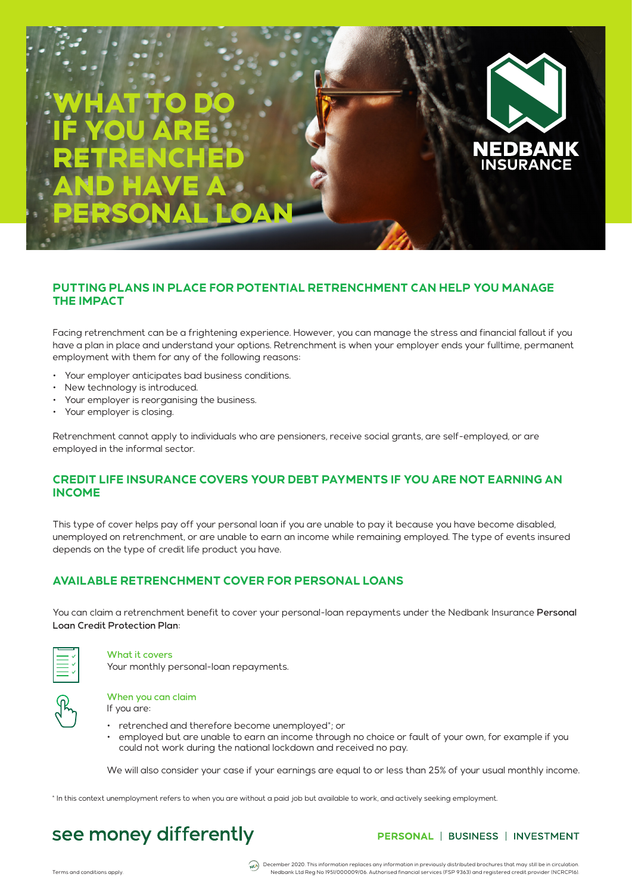# WHAT TO DO IF YOU ARE RETRENCHED AND HAVE A PERSONAL LOAN

## **PUTTING PLANS IN PLACE FOR POTENTIAL RETRENCHMENT CAN HELP YOU MANAGE THE IMPACT**

Facing retrenchment can be a frightening experience. However, you can manage the stress and financial fallout if you have a plan in place and understand your options. Retrenchment is when your employer ends your fulltime, permanent employment with them for any of the following reasons:

- Your employer anticipates bad business conditions.
- New technology is introduced.
- Your employer is reorganising the business.
- Your employer is closing.

Retrenchment cannot apply to individuals who are pensioners, receive social grants, are self-employed, or are employed in the informal sector.

## **CREDIT LIFE INSURANCE COVERS YOUR DEBT PAYMENTS IF YOU ARE NOT EARNING AN INCOME**

This type of cover helps pay off your personal loan if you are unable to pay it because you have become disabled, unemployed on retrenchment, or are unable to earn an income while remaining employed. The type of events insured depends on the type of credit life product you have.

## **AVAILABLE RETRENCHMENT COVER FOR PERSONAL LOANS**

You can claim a retrenchment benefit to cover your personal-loan repayments under the Nedbank Insurance Personal Loan Credit Protection Plan:



#### What it covers

Your monthly personal-loan repayments.

|--|

### When you can claim

If you are:

- retrenched and therefore become unemployed\*; or
- employed but are unable to earn an income through no choice or fault of your own, for example if you could not work during the national lockdown and received no pay.

We will also consider your case if your earnings are equal to or less than 25% of your usual monthly income.

\* In this context unemployment refers to when you are without a paid job but available to work, and actively seeking employment.

## see money differently

PERSONAL | BUSINESS | INVESTMENT

EDBANK